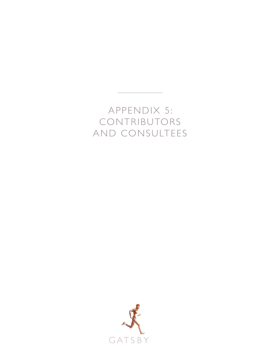# APPENDIX 5: CONTRIBUTORS AND CONSULTEES

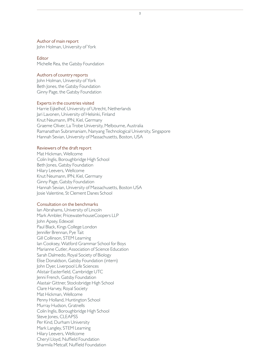## Author of main report

John Holman, University of York

#### **Editor**

Michelle Rea, the Gatsby Foundation

## Authors of country reports

John Holman, University of York Beth Jones, the Gatsby Foundation Ginny Page, the Gatsby Foundation

## Experts in the countries visited

Harrie Eijkelhof, University of Utrecht, Netherlands Jari Lavonen, University of Helsinki, Finland Knut Neumann, IPN, Kiel, Germany Graeme Oliver, La Trobe University, Melbourne, Australia Ramanathan Subramaniam, Nanyang Technological University, Singapore Hannah Sevian, University of Massachusetts, Boston, USA

## Reviewers of the draft report

Mat Hickman, Wellcome Colin Inglis, Boroughbridge High School Beth Jones, Gatsby Foundation Hilary Leevers, Wellcome Knut Neumann, IPN, Kiel, Germany Ginny Page, Gatsby Foundation Hannah Sevian, University of Massachusetts, Boston USA Josie Valentine, St Clement Danes School

#### Consultation on the benchmarks

Ian Abrahams, University of Lincoln Mark Ambler, PricewaterhouseCoopers LLP John Apsey, Edexcel Paul Black, Kings College London Jennifer Brennan, Pye Tait Gill Collinson, STEM Learning Ian Cooksey, Watford Grammar School for Boys Marianne Cutler, Association of Science Education Sarah Dalmedo, Royal Society of Biology Elise Donaldson, Gatsby Foundation (intern) John Dyer, Liverpool Life Sciences Alistair Easterfield, Cambridge UTC Jenni French, Gatsby Foundation Alastair Gittner, Stocksbridge High School Clare Harvey, Royal Society Mat Hickman, Wellcome Penny Holland, Huntington School Murray Hudson, Gratnells Colin Inglis, Boroughbridge High School Steve Jones, CLEAPSS Per Kind, Durham University Mark Langley, STEM Learning Hilary Leevers, Wellcome Cheryl Lloyd, Nuffield Foundation Sharmila Metcalf, Nuffield Foundation